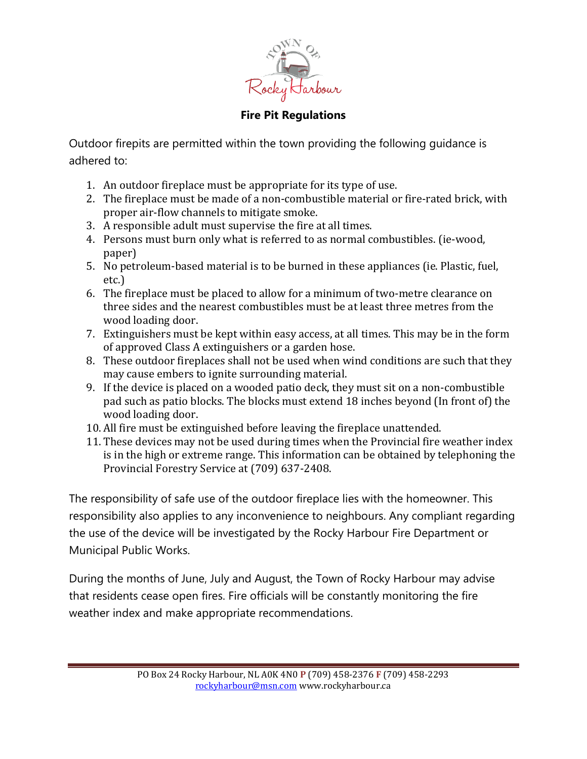

## **Fire Pit Regulations**

Outdoor firepits are permitted within the town providing the following guidance is adhered to:

- 1. An outdoor fireplace must be appropriate for its type of use.
- 2. The fireplace must be made of a non-combustible material or fire-rated brick, with proper air-flow channels to mitigate smoke.
- 3. A responsible adult must supervise the fire at all times.
- 4. Persons must burn only what is referred to as normal combustibles. (ie-wood, paper)
- 5. No petroleum-based material is to be burned in these appliances (ie. Plastic, fuel, etc.)
- 6. The fireplace must be placed to allow for a minimum of two-metre clearance on three sides and the nearest combustibles must be at least three metres from the wood loading door.
- 7. Extinguishers must be kept within easy access, at all times. This may be in the form of approved Class A extinguishers or a garden hose.
- 8. These outdoor fireplaces shall not be used when wind conditions are such that they may cause embers to ignite surrounding material.
- 9. If the device is placed on a wooded patio deck, they must sit on a non-combustible pad such as patio blocks. The blocks must extend 18 inches beyond (In front of) the wood loading door.
- 10. All fire must be extinguished before leaving the fireplace unattended.
- 11. These devices may not be used during times when the Provincial fire weather index is in the high or extreme range. This information can be obtained by telephoning the Provincial Forestry Service at (709) 637-2408.

The responsibility of safe use of the outdoor fireplace lies with the homeowner. This responsibility also applies to any inconvenience to neighbours. Any compliant regarding the use of the device will be investigated by the Rocky Harbour Fire Department or Municipal Public Works.

During the months of June, July and August, the Town of Rocky Harbour may advise that residents cease open fires. Fire officials will be constantly monitoring the fire weather index and make appropriate recommendations.